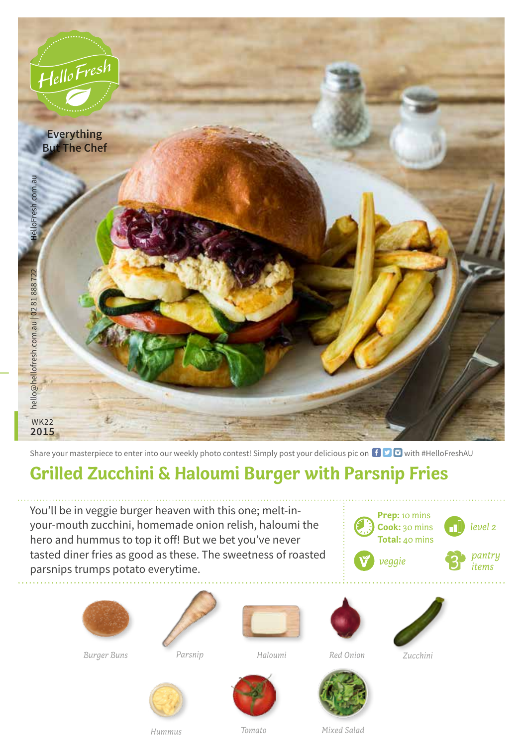

Share your masterpiece to enter into our weekly photo contest! Simply post your delicious pic on  $\bigoplus$   $\bigoplus$  with #HelloFreshAU

## **Grilled Zucchini & Haloumi Burger with Parsnip Fries**

You'll be in veggie burger heaven with this one; melt-inyour-mouth zucchini, homemade onion relish, haloumi the hero and hummus to top it off! But we bet you've never tasted diner fries as good as these. The sweetness of roasted parsnips trumps potato everytime.





*Burger Buns Parsnip* 





*Haloumi Zucchini*











*Hummus*

*Tomato Mixed Salad*